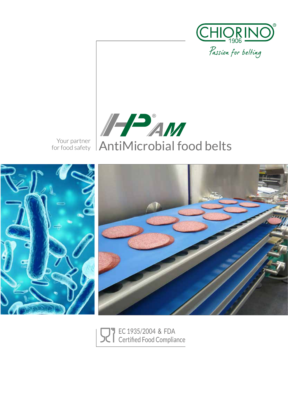

Your partner<br>for food safety





EC 1935/2004 & FDA Certified Food Compliance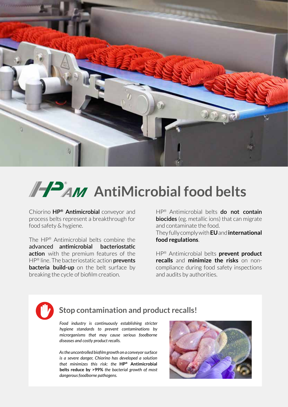

# **AND AntiMicrobial food belts**

Chiorino **HP® Antimicrobial** conveyor and process belts represent a breakthrough for food safety & hygiene.

The HP® Antimicrobial belts combine the advanced **antimicrobial bacteriostatic action** with the premium features of the HP® line. The bacteriostatic action **prevents bacteria build-up** on the belt surface by breaking the cycle of biofilm creation.

HP® Antimicrobial belts **do not contain biocides** (eg. metallic ions) that can migrate and contaminate the food.

They fully comply with **EU** and **international food regulations**.

HP® Antimicrobial belts **prevent product recalls** and **minimize the risks** on noncompliance during food safety inspections and audits by authorities.



# **Stop contamination and product recalls!**

*Food industry is continuously establishing stricter hygiene standards to prevent contaminations by microrganisms that may cause serious foodborne diseases and costly product recalls.*

*As the uncontrolled biofilm growth on a conveyor surface is a severe danger, Chiorino has developed a solution that minimizes this risk: the* **HP® Antimicrobial belts reduce by >99%** *the bacterial growth of most dangerous foodborne pathogens.*

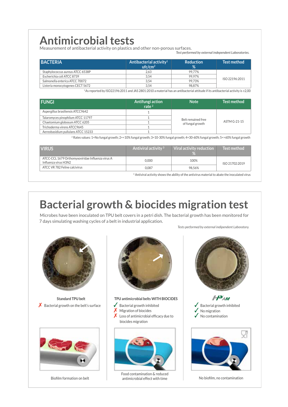# **Antimicrobial tests**

Measurement of antibacterial activity on plastics and other non-porous surfaces. *Test performed by external independent Laboratories.*

| <b>BACTERIA</b>                  | Antibacterial activity <sup>1</sup><br>ufc/cm <sup>2</sup> | <b>Reduction</b><br>% | <b>Test method</b> |
|----------------------------------|------------------------------------------------------------|-----------------------|--------------------|
| Staphylococcus aureus ATCC 6538P | 2.63                                                       | 99.77%                |                    |
| Escherichia coli ATCC 8739       | 3.54                                                       | 99.97%                |                    |
| Salmonella enterica ATCC 70072   | 3.54                                                       | 99.73%                | ISO 22196:2011     |
| Listeria monocytogenes CECT 5672 | 3.54                                                       | 98.87%                |                    |

<sup>1</sup>As reported by ISO22196:2011 and JAS 2801:2010 a material has an antibacterial attitude if its antibacterial activity is ≥2,00

| <b>FUNGI</b>                       | Antifungi action<br>rate $2$ | <b>Note</b>                            | <b>Test method</b> |  |  |
|------------------------------------|------------------------------|----------------------------------------|--------------------|--|--|
| Aspergillus brasiliensis ATCC9642  |                              |                                        |                    |  |  |
| Talaromyces pinophilum ATCC 11797  |                              | Belt remained free<br>of fungal growth |                    |  |  |
| Chaetomium globosum ATCC 6205      |                              |                                        | ASTM G-21-15       |  |  |
| Trichoderma virens ATCC9645        |                              |                                        |                    |  |  |
| Aereobasidium pullulans ATCC 15233 |                              |                                        |                    |  |  |

<sup>2</sup> Rates values: 1=No fungal growth; 2=<10% fungal growth; 3=10-30% fungal growth; 4=30-60% fungal growth; 5=>60% fungal growth

| <b>VIRUS</b>                                                             | Antiviral activity $3$ | Viral activity reduction | <b>Test method</b> |  |
|--------------------------------------------------------------------------|------------------------|--------------------------|--------------------|--|
| ATCC-CCL 1679 Orthomyxoviridae Influenza virus A<br>Influenza virus H3N2 | 0.000                  | 100%                     | ISO 21702:2019     |  |
| ATCC VR 782 Feline calcivirus                                            | 0.087                  | 98.56%                   |                    |  |

<sup>3</sup> Antiviral activity shows the ability of the antivirus material to abate the inoculated virus

# **Bacterial growth & biocides migration test**

Microbes have been inoculated on TPU belt covers in a petri dish. The bacterial growth has been monitored for 7 days simulating washing cycles of a belt in industrial application.



**Standard TPU belt**  $\boldsymbol{X}$  Bacterial growth on the belt's surface



Biofilm formation on belt



**TPU antimicrobial belts WITH BIOCIDES**

- Bacterial growth inhibited
- $\overline{X}$  Migration of biocides
- Loss of antimicrobial efficacy due to biocides migration



Food contamination & reduced  $\alpha$  antimicrobial effect with time  $\alpha$  No biofilm, no contamination



*Tests performed by external indipendent Laboratory.*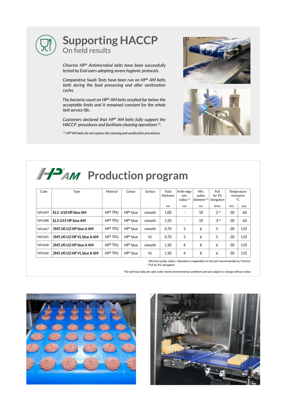

*Chiorino HP® Antimicrobial belts have been successfully tested by End users adopting severe hygienic protocols.*

*Comparative Swab Tests have been run on HP® AM belts both during the food processing and after sanitization cycles.*

*The bacteria count on HP® AM belts resulted far below the acceptable limits and it remained constant for the whole belt service life.*

*Customers declared that HP® AM belts fully support the HACCP procedures and facilitate cleaning operations (1).*

*(1) HP®AM belts do not replace the cleaning and sanification procedures*





# **PAM** Production program

| Code   | Type                      | Material   | Colour              | Surface   | Total<br>thickness | Knife edge<br>min.<br>radius <sup>(1)</sup> | Min.<br>pulley<br>diameter <sup>(1)</sup> | Pull<br>for $1%$<br>elongation | Temperature<br>resistance<br>°C |      |
|--------|---------------------------|------------|---------------------|-----------|--------------------|---------------------------------------------|-------------------------------------------|--------------------------------|---------------------------------|------|
|        |                           |            |                     |           | mm                 | mm                                          | mm                                        | N/mm                           | min.                            | max. |
| NA1669 | EL2-U10 HP blue AM        | HP® TPU    | $HP^{\otimes}$ blue | smooth    | 1.00               | $\overline{\phantom{a}}$                    | 10                                        | 2(2)                           | $-30$                           | 60   |
| NA1688 | EL3-U15 HP blue AM        | HP® TPU    | $HP^{\otimes}$ blue | smooth    | 1.50               | $\overline{\phantom{a}}$                    | 10                                        | 3(2)                           | $-30$                           | 60   |
| NA1667 | 1M5 U0-U2 HP blue A AM    | HP® TPU    | $HP^{\otimes}$ blue | smooth    | 0.70               | 3                                           | 6                                         | 5                              | $-30$                           | 110  |
| NA1665 | 1M5 U0-U2 HP VL blue A AM | HP® TPU    | $HP^{\otimes}$ blue | <b>VL</b> | 0.70               | 3                                           | 6                                         | 5                              | $-30$                           | 110  |
| NA1668 | 2M5 U0-U2 HP blue A AM    | $HP^*TPIJ$ | $HP^{\otimes}$ blue | smooth    | 1.30               | $\overline{4}$                              | 8                                         | 6                              | $-30$                           | 110  |
| NA1666 | 2M5 U0-U2 HP VL blue A AM | HP® TPU    | $HP^{\otimes}$ blue | VL        | 1.30               | 4                                           | 8                                         | 6                              | $-30$                           | 110  |

1 Minimum pulley radius / diameters is dependent on the joint recommended by Chiorino 2 Pull for 8% elongation

The technical data are valid under normal environmental conditions and are subject to change without notice.



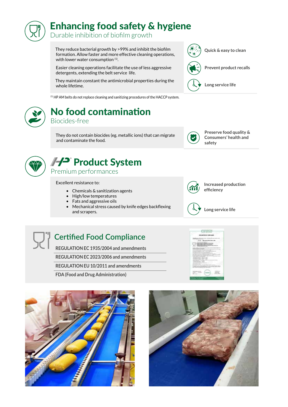# Enhancing food safety & hygiene

Durable inhibition of biofilm growth

They reduce bacterial growth by >99% and inhibit the biofilm formation. Allow faster and more effective cleaning operations, with lower water consumption (1).

Easier cleaning operations facilitate the use of less aggressive detergents, extending the belt service life.

They maintain constant the antimicrobial properties during the whole lifetime.

 $(1)$  HP AM belts do not replace cleaning and sanitizing procedures of the HACCP system.

# No food contamination Biocides-free

They do not contain biocides (eg. metallic ions) that can migrate and contaminate the food.



**Preserve food quality & Consumers' health and safety**

**Increased production** 

**Long service life**

**efficiency**



# A<sup>2</sup> Product System

Premium performances

Excellent resistance to:

• Chemicals & sanitization agents

**Certified Food Compliance**

**REGULATION EC 1935/2004 and amendments REGULATION EC 2023/2006 and amendments REGULATION EU 10/2011 and amendments**

**FDA (Food and Drug Administration)**

- High/low temperatures
- Fats and aggressive oils
- Mechanical stress caused by knife edges backflexing and scrapers.









**Prevent product recalls**

**Long service life**